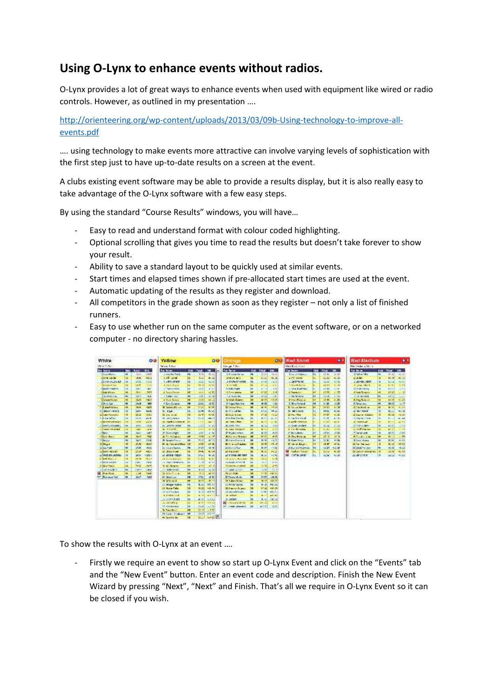## **Using O-Lynx to enhance events without radios.**

O-Lynx provides a lot of great ways to enhance events when used with equipment like wired or radio controls. However, as outlined in my presentation ….

http://orienteering.org/wp-content/uploads/2013/03/09b-Using-technology-to-improve-all events.pdf

…. using technology to make events more attractive can involve varying levels of sophistication with the first step just to have up-to-date results on a screen at the event.

A clubs existing event software may be able to provide a results display, but it is also really easy to take advantage of the O-Lynx software with a few easy steps.

By using the standard "Course Results" windows, you will have…

- Easy to read and understand format with colour coded highlighting.
- Optional scrolling that gives you time to read the results but doesn't take forever to show your result.
- Ability to save a standard layout to be quickly used at similar events.
- Start times and elapsed times shown if pre-allocated start times are used at the event.
- Automatic updating of the results as they register and download.
- All competitors in the grade shown as soon as they register not only a list of finished runners.
- Easy to use whether run on the same computer as the event software, or on a networked computer - no directory sharing hassles.

| White                                                                                                                                                                                                                                                                                                                                                                                                                                                                                                                                                                                                      |                                                                                                                                                                         |                                                                                                                                                                                                                                                                                                                          | o a                                                                                                                                                                                                                                                                                                                         | Yallow                                                                                                                                                                                                                                                                                                                                                                                                                                                                                                                                                                                                                                                                                                      |                                                                                                                                                                                               |                                                                                                                                                                                                                                                                                                   | 09                                                                                                                                                                                                                                                                                                         | <b>Arriving</b>                                                                                                                                                                                                                                                                                                                                                                                                                                                                                                                                                                                                                                                                                                                                                |                                                                                                                                                                                              |                                                                                                                                                                                                                                                                                                                                       | ou                                                                                                                                                                                                                                                                                                    | <b>Rad Short</b>                                                                                                                                                                                                                                                                                                                                                                                                                                                                                                     |                                      |                                                                                                                                                                                                                         | $\bullet$                                                                                                                                                                                                                                      | <b>Rad Madium</b>                                                                                                                                                                                                                                                                                                                                                                                                                                                                                                  |                             |                                                                                                                                                                                                                                          |                                                                                                                                                                                                                                    |
|------------------------------------------------------------------------------------------------------------------------------------------------------------------------------------------------------------------------------------------------------------------------------------------------------------------------------------------------------------------------------------------------------------------------------------------------------------------------------------------------------------------------------------------------------------------------------------------------------------|-------------------------------------------------------------------------------------------------------------------------------------------------------------------------|--------------------------------------------------------------------------------------------------------------------------------------------------------------------------------------------------------------------------------------------------------------------------------------------------------------------------|-----------------------------------------------------------------------------------------------------------------------------------------------------------------------------------------------------------------------------------------------------------------------------------------------------------------------------|-------------------------------------------------------------------------------------------------------------------------------------------------------------------------------------------------------------------------------------------------------------------------------------------------------------------------------------------------------------------------------------------------------------------------------------------------------------------------------------------------------------------------------------------------------------------------------------------------------------------------------------------------------------------------------------------------------------|-----------------------------------------------------------------------------------------------------------------------------------------------------------------------------------------------|---------------------------------------------------------------------------------------------------------------------------------------------------------------------------------------------------------------------------------------------------------------------------------------------------|------------------------------------------------------------------------------------------------------------------------------------------------------------------------------------------------------------------------------------------------------------------------------------------------------------|----------------------------------------------------------------------------------------------------------------------------------------------------------------------------------------------------------------------------------------------------------------------------------------------------------------------------------------------------------------------------------------------------------------------------------------------------------------------------------------------------------------------------------------------------------------------------------------------------------------------------------------------------------------------------------------------------------------------------------------------------------------|----------------------------------------------------------------------------------------------------------------------------------------------------------------------------------------------|---------------------------------------------------------------------------------------------------------------------------------------------------------------------------------------------------------------------------------------------------------------------------------------------------------------------------------------|-------------------------------------------------------------------------------------------------------------------------------------------------------------------------------------------------------------------------------------------------------------------------------------------------------|----------------------------------------------------------------------------------------------------------------------------------------------------------------------------------------------------------------------------------------------------------------------------------------------------------------------------------------------------------------------------------------------------------------------------------------------------------------------------------------------------------------------|--------------------------------------|-------------------------------------------------------------------------------------------------------------------------------------------------------------------------------------------------------------------------|------------------------------------------------------------------------------------------------------------------------------------------------------------------------------------------------------------------------------------------------|--------------------------------------------------------------------------------------------------------------------------------------------------------------------------------------------------------------------------------------------------------------------------------------------------------------------------------------------------------------------------------------------------------------------------------------------------------------------------------------------------------------------|-----------------------------|------------------------------------------------------------------------------------------------------------------------------------------------------------------------------------------------------------------------------------------|------------------------------------------------------------------------------------------------------------------------------------------------------------------------------------------------------------------------------------|
| 2012/05/06                                                                                                                                                                                                                                                                                                                                                                                                                                                                                                                                                                                                 |                                                                                                                                                                         |                                                                                                                                                                                                                                                                                                                          | Sales Total                                                                                                                                                                                                                                                                                                                 |                                                                                                                                                                                                                                                                                                                                                                                                                                                                                                                                                                                                                                                                                                             |                                                                                                                                                                                               | <b>DESTRUCES</b>                                                                                                                                                                                                                                                                                  |                                                                                                                                                                                                                                                                                                            |                                                                                                                                                                                                                                                                                                                                                                                                                                                                                                                                                                                                                                                                                                                                                                | Redding Live                                                                                                                                                                                 |                                                                                                                                                                                                                                                                                                                                       |                                                                                                                                                                                                                                                                                                       | Recificilian of Morris                                                                                                                                                                                                                                                                                                                                                                                                                                                                                               |                                      |                                                                                                                                                                                                                         |                                                                                                                                                                                                                                                |                                                                                                                                                                                                                                                                                                                                                                                                                                                                                                                    |                             |                                                                                                                                                                                                                                          |                                                                                                                                                                                                                                    |
| Pos. See w<br><b>CDUre Parks</b><br>Close Latin<br><b>JAMANAME</b><br><b>College River</b><br><b>Jaimer's meadows</b><br><b>Library Millwest</b><br><b>INTERNATIONAL</b><br><b>Granting</b><br>125.6.22<br><b>T. E. Jan File Inni</b><br><b>MAGAZINE</b><br><b>COUNTRY</b><br>malay adial<br><b>LIBERATOR SUPPLASSING</b><br><b>Levers source</b><br>Colombia 199 Julian<br><b>Chick</b><br><b>Then Auto</b><br>Nevia.<br>22 Mayo<br><b>ESSAY</b><br><b>CEAN HOUSE</b><br><b>ZIMPOR ADMI</b><br>of Book Market<br>A WAS WHAT<br>25 Mile of Treasure<br>alamando<br>Mus Hais<br>×<br><b>MY Premium Tech</b> | یب<br>ш<br>÷<br>m<br>×<br>×<br>×<br>×<br>iн<br>ïυ<br>۰<br><b>ISK</b><br>m<br><b>ITE</b><br>m<br>m<br>×<br>ж<br>۰<br>ш<br>ш<br>u<br>113<br>w<br><b>Inches</b><br>÷<br>ĸ. | <b>OUL TAB</b><br><b>BYF</b><br>收缩<br><b>Sta</b><br>出版社<br>96<br>$\sigma_{\rm Pl}$<br>$+41.7$<br>26.17<br>29.98<br><b>WW</b><br>$200 -$<br>10011<br>550.83<br>vote.<br>ACC.<br><b>SAM</b><br><b>Hair</b><br>36.77<br>76/11<br>2.8<br>258<br>204<br>3639<br>23.78<br>1.81<br>$2 - 3$<br><b>Jan</b><br>1.468<br><b>Art</b> | <b>ELL</b><br>VAIR<br>$-0.11$<br>42H<br><b>First</b><br><b>ME</b><br><b>SAT</b><br>$\bullet$<br>$+11$<br>400<br><b>USA</b><br>AGUA<br>10.83<br><b>SVIE</b><br>2231<br>98<br>学生<br>List1<br>740<br>-200<br>-621<br>(611)<br>$-221$<br>$-1001$<br><b>YULT</b><br><b>TEM</b><br><b>Deff</b><br>7 distri<br><b>STAR</b><br>5400 | <b>Bachton</b><br>L-Onative North<br>1.7d - cover<br>1,4911,8782<br><b>Editor Janeiro</b><br><b>Chang Cross</b><br>al Anno-Indone<br>1. Addit Part<br>4 Over Notario<br><b><i>A Cara Calversi</i></b><br>III Salabeli (S. 2011)<br>11 1148<br>11 Day Green<br><b>Buyerty Artist</b><br><b>AL INSTRUCTIONARY</b><br><b>11 Annish mind</b><br><b>A minority</b><br>IF Sherifields<br><b>M. Part Pollume and</b><br><b>History Pitch</b><br>31 A lass av Char 10<br><b>31 Good Ranks</b><br>at describes<br>AT JEWIS COLLIN<br>EL Service Market<br>La characteristical<br><b>With Beyon</b><br>and midder excels.<br>34 Mile (Mile) 4<br>Dr Montford<br><b>SENIOR</b><br>11 Joseph Kalerie<br>12 Million Palm | m<br>п<br>м<br>и.<br>m<br>١e<br>۰<br>w<br>M<br>44<br>31.<br>ÌΕ<br>b.<br>38<br>œ<br>a.<br>×<br>ш<br>$^{*}$<br>m<br>36<br>١L<br>ш<br>m<br>эe<br>$\overline{r}$<br>w<br>$^{14}$<br>×<br>36<br>ïΕ | <b>Disk Child</b><br>$9 - 16$<br>车出<br>自省<br>h k<br>W<br>$+4$<br><b>IN</b><br>1N<br>124<br>加油<br>14.50<br><b>ILM</b><br>tost<br>553<br><b>Arrasts</b><br>48<br>1,400<br>38.37<br>$-2.1$<br>P.C.<br>94%<br>26<br>1.11<br>12,08<br>170<br><b>PART</b><br>T<<br>170<br>20<br><b>Bis</b><br>$11 - 20$ | ı-<br>$\overline{\phantom{a}}$<br>140.00<br>40 大<br>14.3<br>129<br>4270<br>経歴<br>45.00<br>461<br>$\mathbf{H}$<br>41.9<br>4.100<br>42.20<br>44.1<br>44<br>T<br>$1 + 1$<br>113<br>17.47<br>48.93<br>$-18$<br>作用<br>4654<br>光线<br>50.2<br>879<br>Æ<br>36.58<br>$\mathbf{u}$<br>n!<br>in t<br>$+3.1$<br>$+8.4$ | the get due<br><b>Painting</b><br><b>Line Serie</b><br><b><i><u>ARKOL</u></i></b> #10<br>215-06/11/14 00:00<br><b>TIGHT NOT</b><br><b>Click Proper</b><br><b>Citizens barra</b><br><b>FESAINTEE</b><br><b>Silvest Disease</b><br>2 Nav Renda<br><b>Bibliothia</b><br>D.M. Luther<br><b>City of School</b><br>third with the<br><b>Mir Inner Fullman</b><br>WIPSY STE<br><b>By James Challenger</b><br>P Tryalverse<br><b>Rivers Breton</b><br>Biomediation I<br><b>Bit exclusive</b><br><b>STORY LOW</b><br>All Lia North<br>al Interacularment<br><b>ITSON Arrest</b><br>15 Andrew Street, 4<br>Wildeman Libraries<br>of career services<br><b>Wash Fake</b><br>2 Favore et Jan<br><b>XI Subject Code</b><br>20 Friday Council<br><b>Information Projects</b> | <b>CLA</b><br>i1<br>H.<br>.,<br>и<br>÷<br>w<br>×<br>ю<br>is.<br>m<br>m<br>ш<br>m<br>ш<br>×<br>÷<br>$\rightarrow$<br>œ<br>m<br>п<br><b>SE</b><br>m<br>w<br>w<br>▬<br>⊶<br>æ<br>ь<br>14.<br>ïΕ | <b>DAM</b><br><b>SCAT</b><br><b>College</b><br><b>PA</b><br>49%<br>$17 +$<br>19.20<br>14.54<br>M-OF<br><b>HI</b><br>$-1$<br>1400<br>17.20<br>$H$ to<br>16.4<br>80.5<br>26.5<br>单层<br>et ne.<br>$76 - 76$<br><b>18 SH</b><br>8.17<br>其法<br>W.U<br><b>SER</b><br>14.15<br>11.70<br>18,500<br>11 (3)<br>21 80)<br>96.04<br>8, 31<br>rr11 | DE.<br>$-0.8$<br>地友<br>relA<br>$-100$<br>15<br>$5 - 4$<br>14.40<br>$-1.36$<br>$-24$<br>马里<br>$-1.2$<br>4245<br>$-5.8$<br>$-18$<br>TX.<br>41,91<br>82<br>42<br>-215<br>$-1.17$<br>극지<br>mala.<br><b>SKK</b><br>1. 2<br><b>FPR</b><br>表型<br><b>YEAR</b><br>分配に出<br>1122<br>相互の<br>$+L \times$<br>411.3- | <b>Tax book</b><br>Livial/infrint<br>ALC: USB<br><b>CONTROL</b><br><b>Chryslen Administration</b><br><b>Cives Cultivat</b><br>di Station Low<br><b>Chairman</b><br>Find Rebia<br><b>Collectivities</b><br>E for an Gener<br><b>11 MAY DOWN</b><br><b>D. Fall Title</b><br><b>In technician</b><br>to a distribution in<br><b>BOOM UNIVER</b><br>a conference<br>IT but there:<br><b>P Chy Belgian</b><br><b>William Record</b><br>E called As at<br>Il formal Nederste<br><b>M Index Was</b><br><b>JE Instructor</b> | <b>Mix</b><br>×<br>×<br>狂<br>ыe<br>ы | <b>CLAY COVAL</b><br>11.86<br>1.130<br>14M<br>17.11<br>42.52<br>15.99<br><b>DVA</b><br>15.95<br>1120<br>157<br>1450<br>1435<br>\$5.95<br>120<br>\$5.50<br>$4 - 1$<br>1209<br>1710<br>1282<br>计文<br>1221<br>1.72<br>1157 | <b>BALL</b><br>6.33<br>6.30<br><b>KA</b><br>1.11<br>119<br><b>CONTENT</b><br>1.193<br>$r$ . Er<br>は森<br>6.74<br>$+25$<br>花本<br>$4 - 25$<br><b>ALC</b><br>155.8%<br><b>TEAMS</b><br>1125<br>送来<br>11.56<br>$\sim$ 1.<br>10.30<br>$+3J$<br>$+21$ | <b>Section</b><br>Titalian Mar<br>SLA dent<br>L'abretiurent<br><b>Committee's</b><br><b>Civilian Develop</b><br><b>Club News</b><br><b>15.79.185.5899</b><br><b>E. Fry Roars &amp;</b><br>E. Smart Post<br><b>EConfinition</b><br>AT BOTT FOOD<br><b>District Holders</b><br><b>ROBERTON</b><br><b>CONTRACT</b><br><b>SCHEFLORES</b><br><b>ATUNITY OF THE TRAIN</b><br><b>Standard</b><br><b>A Could bring</b><br><b>B.Savi Hodes</b><br><b>STANDARD</b><br>If find wider<br><b>Di-Calvillo Adams del</b><br>加湿性肥料 | ь<br>ч<br>u<br>۰<br>یا<br>н | <b>Cob</b> This<br><b>M.147</b><br>\$4,000<br>1.710<br>45.50<br>1111<br>4.55%<br>19.74<br>45/14<br>HII<br><b>Bit 76</b><br><b>King</b><br>Ka<br>٠<br>$+5.1$<br>12.51<br>ard.<br>結文<br>M.<br>机轴<br>$K=2$<br><b>RG SR</b><br>(2.7)<br>4414 | 34.1<br>9672<br>$+1$<br>92.50<br>49.440<br><br><b>COM</b><br><b>Address</b><br>$+0.15$<br>$-12 - 7$<br>40.93<br>$+7.78$<br>44.00<br>$-14$<br>4.11<br>1225<br>$-75$<br>17.8%<br>$-11$<br>44,93<br>$+11.1$<br>$+122$<br>4.45<br>4632 |
|                                                                                                                                                                                                                                                                                                                                                                                                                                                                                                                                                                                                            |                                                                                                                                                                         |                                                                                                                                                                                                                                                                                                                          |                                                                                                                                                                                                                                                                                                                             | IN Architecture<br>a available of<br>In unversionen<br>a verzelsty<br>23 Harbaran<br><b>M. Park Briti</b><br>24 Super Strakesmin 44                                                                                                                                                                                                                                                                                                                                                                                                                                                                                                                                                                         | ×<br>m<br>'n<br>m<br>w                                                                                                                                                                        | 4.33<br>41100<br>A <sub>TL</sub><br>$-100$<br><b>Circum</b><br>$25 - 1$<br><b>Digital</b><br>H.                                                                                                                                                                                                   | 415.18<br>$\mathbf{L}^{\mathbf{r}}$<br>4.05<br><b>HER</b><br>1.52<br>日内間<br>15011<br>★→会 下                                                                                                                                                                                                                 | <b>Clairmhtree</b><br>a wise<br>3.3095<br><b>BE Incourance</b> at<br><b>Bill conda Wenner</b>                                                                                                                                                                                                                                                                                                                                                                                                                                                                                                                                                                                                                                                                  | ш<br><br>×<br>m<br>$\mathbf{r}$                                                                                                                                                              | <b>View</b><br>$\sim$<br>$8 - 1$<br><b>MAGINA</b><br><b>WE'V!</b>                                                                                                                                                                                                                                                                     | Arch.<br>4674<br>主義の<br>11.4<br>VM.                                                                                                                                                                                                                                                                   |                                                                                                                                                                                                                                                                                                                                                                                                                                                                                                                      |                                      |                                                                                                                                                                                                                         |                                                                                                                                                                                                                                                |                                                                                                                                                                                                                                                                                                                                                                                                                                                                                                                    |                             |                                                                                                                                                                                                                                          |                                                                                                                                                                                                                                    |

To show the results with O-Lynx at an event ….

Firstly we require an event to show so start up O-Lynx Event and click on the "Events" tab and the "New Event" button. Enter an event code and description. Finish the New Event Wizard by pressing "Next", "Next" and Finish. That's all we require in O-Lynx Event so it can be closed if you wish.